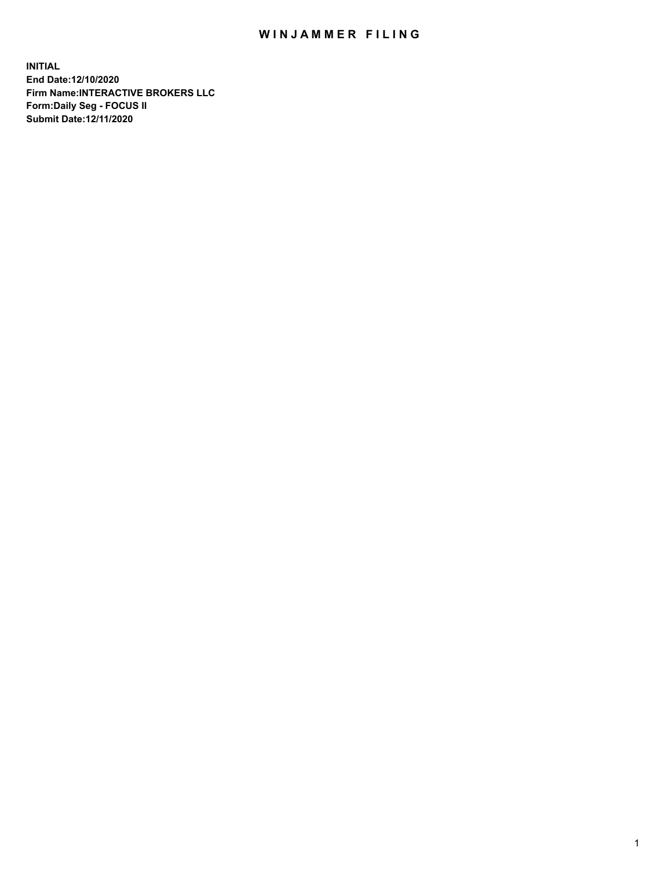## WIN JAMMER FILING

**INITIAL End Date:12/10/2020 Firm Name:INTERACTIVE BROKERS LLC Form:Daily Seg - FOCUS II Submit Date:12/11/2020**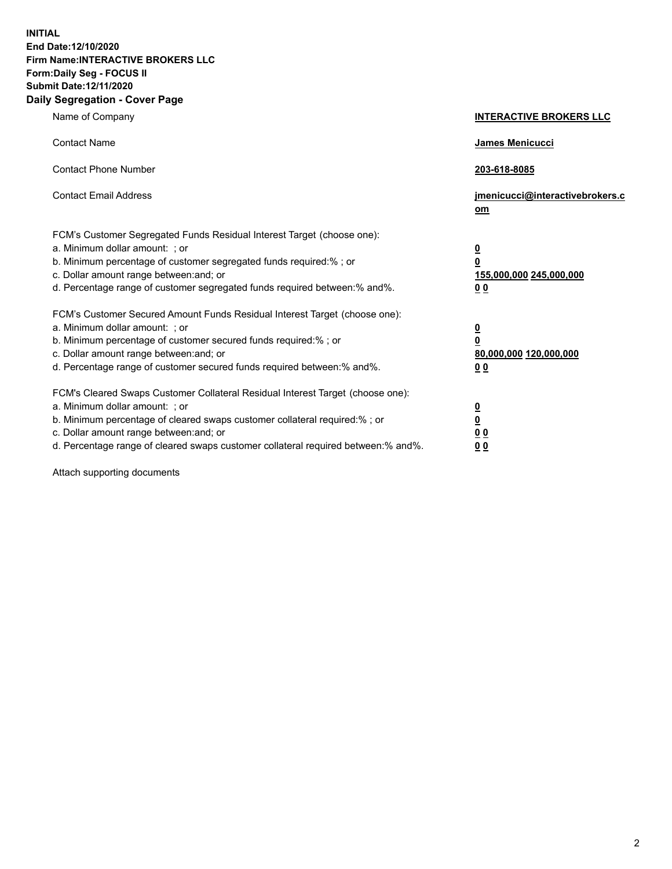**INITIAL End Date:12/10/2020 Firm Name:INTERACTIVE BROKERS LLC Form:Daily Seg - FOCUS II Submit Date:12/11/2020 Daily Segregation - Cover Page**

| Name of Company                                                                                                                                                                                                                                                                                                                | <b>INTERACTIVE BROKERS LLC</b>                                                         |  |
|--------------------------------------------------------------------------------------------------------------------------------------------------------------------------------------------------------------------------------------------------------------------------------------------------------------------------------|----------------------------------------------------------------------------------------|--|
| <b>Contact Name</b>                                                                                                                                                                                                                                                                                                            | James Menicucci                                                                        |  |
| <b>Contact Phone Number</b>                                                                                                                                                                                                                                                                                                    | 203-618-8085                                                                           |  |
| <b>Contact Email Address</b>                                                                                                                                                                                                                                                                                                   | jmenicucci@interactivebrokers.c<br><u>om</u>                                           |  |
| FCM's Customer Segregated Funds Residual Interest Target (choose one):<br>a. Minimum dollar amount: ; or<br>b. Minimum percentage of customer segregated funds required:% ; or<br>c. Dollar amount range between: and; or<br>d. Percentage range of customer segregated funds required between:% and%.                         | $\overline{\mathbf{0}}$<br>$\overline{\mathbf{0}}$<br>155,000,000 245,000,000<br>00    |  |
| FCM's Customer Secured Amount Funds Residual Interest Target (choose one):<br>a. Minimum dollar amount: ; or<br>b. Minimum percentage of customer secured funds required:%; or<br>c. Dollar amount range between: and; or<br>d. Percentage range of customer secured funds required between:% and%.                            | $\overline{\mathbf{0}}$<br>$\pmb{0}$<br>80,000,000 120,000,000<br>0 <sub>0</sub>       |  |
| FCM's Cleared Swaps Customer Collateral Residual Interest Target (choose one):<br>a. Minimum dollar amount: ; or<br>b. Minimum percentage of cleared swaps customer collateral required:% ; or<br>c. Dollar amount range between: and; or<br>d. Percentage range of cleared swaps customer collateral required between:% and%. | $\overline{\mathbf{0}}$<br>$\overline{\mathbf{0}}$<br>0 <sub>0</sub><br>0 <sub>0</sub> |  |

Attach supporting documents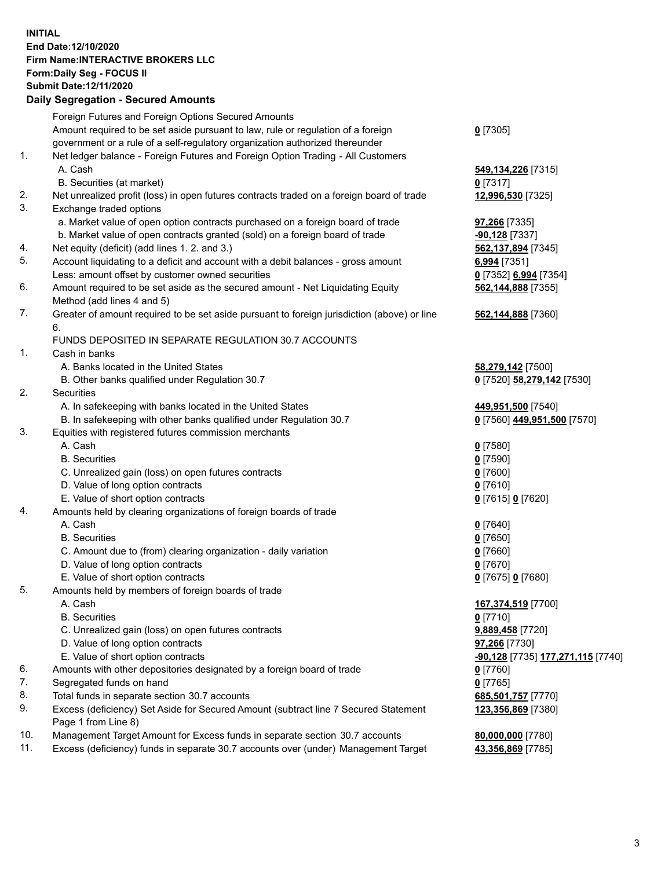**INITIAL End Date:12/10/2020 Firm Name:INTERACTIVE BROKERS LLC Form:Daily Seg - FOCUS II Submit Date:12/11/2020 Daily Segregation - Secured Amounts**

## Foreign Futures and Foreign Options Secured Amounts Amount required to be set aside pursuant to law, rule or regulation of a foreign government or a rule of a self-regulatory organization authorized thereunder **0** [7305] 1. Net ledger balance - Foreign Futures and Foreign Option Trading - All Customers A. Cash **549,134,226** [7315] B. Securities (at market) **0** [7317] 2. Net unrealized profit (loss) in open futures contracts traded on a foreign board of trade **12,996,530** [7325] 3. Exchange traded options a. Market value of open option contracts purchased on a foreign board of trade **97,266** [7335] b. Market value of open contracts granted (sold) on a foreign board of trade **-90,128** [7337] 4. Net equity (deficit) (add lines 1. 2. and 3.) **562,137,894** [7345] 5. Account liquidating to a deficit and account with a debit balances - gross amount **6,994** [7351] Less: amount offset by customer owned securities **0** [7352] **6,994** [7354] 6. Amount required to be set aside as the secured amount - Net Liquidating Equity Method (add lines 4 and 5) **562,144,888** [7355] 7. Greater of amount required to be set aside pursuant to foreign jurisdiction (above) or line 6. **562,144,888** [7360] FUNDS DEPOSITED IN SEPARATE REGULATION 30.7 ACCOUNTS 1. Cash in banks A. Banks located in the United States **58,279,142** [7500] B. Other banks qualified under Regulation 30.7 **0** [7520] **58,279,142** [7530] 2. Securities A. In safekeeping with banks located in the United States **449,951,500** [7540] B. In safekeeping with other banks qualified under Regulation 30.7 **0** [7560] **449,951,500** [7570] 3. Equities with registered futures commission merchants A. Cash **0** [7580] B. Securities **0** [7590] C. Unrealized gain (loss) on open futures contracts **0** [7600] D. Value of long option contracts **0** [7610] E. Value of short option contracts **0** [7615] **0** [7620] 4. Amounts held by clearing organizations of foreign boards of trade A. Cash **0** [7640] B. Securities **0** [7650] C. Amount due to (from) clearing organization - daily variation **0** [7660] D. Value of long option contracts **0** [7670] E. Value of short option contracts **0** [7675] **0** [7680] 5. Amounts held by members of foreign boards of trade A. Cash **167,374,519** [7700] B. Securities **0** [7710] C. Unrealized gain (loss) on open futures contracts **9,889,458** [7720] D. Value of long option contracts **97,266** [7730] E. Value of short option contracts **-90,128** [7735] **177,271,115** [7740] 6. Amounts with other depositories designated by a foreign board of trade **0** [7760] 7. Segregated funds on hand **0** [7765] 8. Total funds in separate section 30.7 accounts **685,501,757** [7770] 9. Excess (deficiency) Set Aside for Secured Amount (subtract line 7 Secured Statement Page 1 from Line 8) **123,356,869** [7380] 10. Management Target Amount for Excess funds in separate section 30.7 accounts **80,000,000** [7780] 11. Excess (deficiency) funds in separate 30.7 accounts over (under) Management Target **43,356,869** [7785]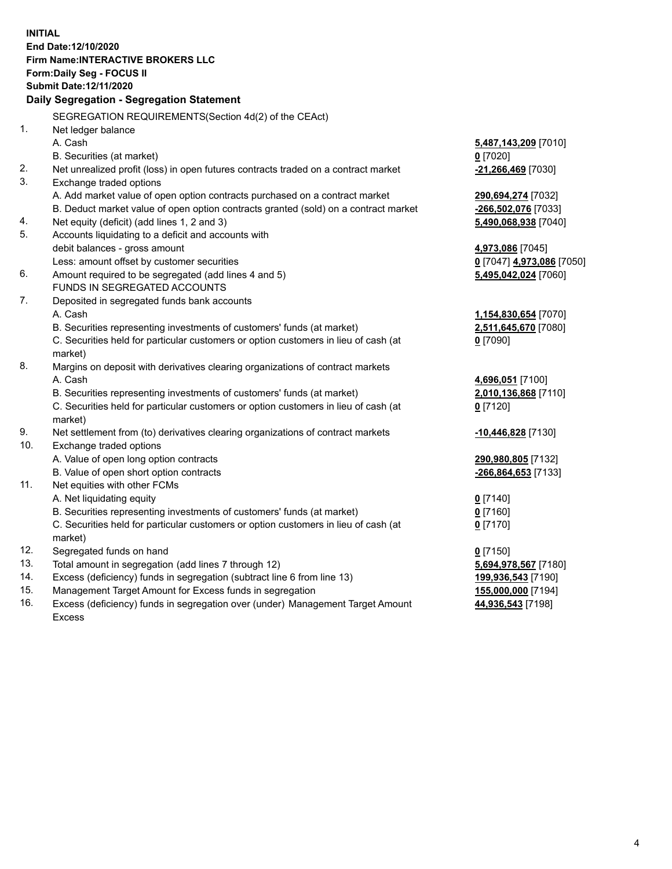**INITIAL End Date:12/10/2020 Firm Name:INTERACTIVE BROKERS LLC Form:Daily Seg - FOCUS II Submit Date:12/11/2020 Daily Segregation - Segregation Statement** SEGREGATION REQUIREMENTS(Section 4d(2) of the CEAct) 1. Net ledger balance A. Cash **5,487,143,209** [7010] B. Securities (at market) **0** [7020] 2. Net unrealized profit (loss) in open futures contracts traded on a contract market **-21,266,469** [7030] 3. Exchange traded options A. Add market value of open option contracts purchased on a contract market **290,694,274** [7032] B. Deduct market value of open option contracts granted (sold) on a contract market **-266,502,076** [7033] 4. Net equity (deficit) (add lines 1, 2 and 3) **5,490,068,938** [7040] 5. Accounts liquidating to a deficit and accounts with debit balances - gross amount **4,973,086** [7045] Less: amount offset by customer securities **0** [7047] **4,973,086** [7050] 6. Amount required to be segregated (add lines 4 and 5) **5,495,042,024** [7060] FUNDS IN SEGREGATED ACCOUNTS 7. Deposited in segregated funds bank accounts A. Cash **1,154,830,654** [7070] B. Securities representing investments of customers' funds (at market) **2,511,645,670** [7080] C. Securities held for particular customers or option customers in lieu of cash (at market) **0** [7090] 8. Margins on deposit with derivatives clearing organizations of contract markets A. Cash **4,696,051** [7100] B. Securities representing investments of customers' funds (at market) **2,010,136,868** [7110] C. Securities held for particular customers or option customers in lieu of cash (at market) **0** [7120] 9. Net settlement from (to) derivatives clearing organizations of contract markets **-10,446,828** [7130] 10. Exchange traded options A. Value of open long option contracts **290,980,805** [7132] B. Value of open short option contracts **-266,864,653** [7133] 11. Net equities with other FCMs A. Net liquidating equity **0** [7140] B. Securities representing investments of customers' funds (at market) **0** [7160] C. Securities held for particular customers or option customers in lieu of cash (at market) **0** [7170] 12. Segregated funds on hand **0** [7150] 13. Total amount in segregation (add lines 7 through 12) **5,694,978,567** [7180] 14. Excess (deficiency) funds in segregation (subtract line 6 from line 13) **199,936,543** [7190] 15. Management Target Amount for Excess funds in segregation **155,000,000** [7194]

16. Excess (deficiency) funds in segregation over (under) Management Target Amount Excess

**44,936,543** [7198]